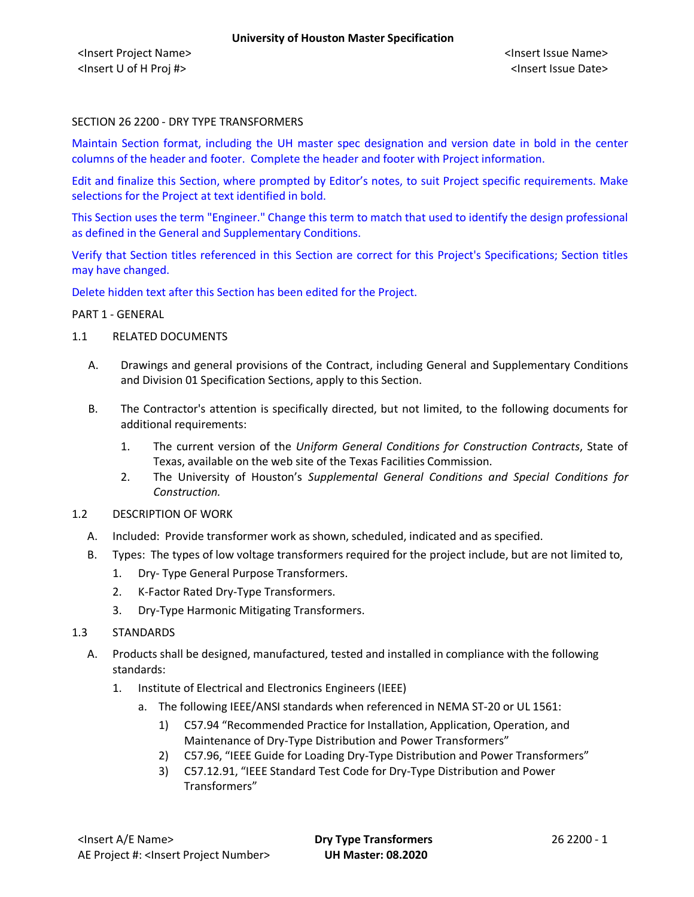# SECTION 26 2200 - DRY TYPE TRANSFORMERS

Maintain Section format, including the UH master spec designation and version date in bold in the center columns of the header and footer. Complete the header and footer with Project information.

Edit and finalize this Section, where prompted by Editor's notes, to suit Project specific requirements. Make selections for the Project at text identified in bold.

This Section uses the term "Engineer." Change this term to match that used to identify the design professional as defined in the General and Supplementary Conditions.

Verify that Section titles referenced in this Section are correct for this Project's Specifications; Section titles may have changed.

Delete hidden text after this Section has been edited for the Project.

#### PART 1 - GENERAL

- 1.1 RELATED DOCUMENTS
	- A. Drawings and general provisions of the Contract, including General and Supplementary Conditions and Division 01 Specification Sections, apply to this Section.
	- B. The Contractor's attention is specifically directed, but not limited, to the following documents for additional requirements:
		- 1. The current version of the *Uniform General Conditions for Construction Contracts*, State of Texas, available on the web site of the Texas Facilities Commission.
		- 2. The University of Houston's *Supplemental General Conditions and Special Conditions for Construction.*
- 1.2 DESCRIPTION OF WORK
	- A. Included: Provide transformer work as shown, scheduled, indicated and as specified.
	- B. Types: The types of low voltage transformers required for the project include, but are not limited to,
		- 1. Dry- Type General Purpose Transformers.
		- 2. K-Factor Rated Dry-Type Transformers.
		- 3. Dry-Type Harmonic Mitigating Transformers.
- 1.3 STANDARDS
	- A. Products shall be designed, manufactured, tested and installed in compliance with the following standards:
		- 1. Institute of Electrical and Electronics Engineers (IEEE)
			- a. The following IEEE/ANSI standards when referenced in NEMA ST-20 or UL 1561:
				- 1) C57.94 "Recommended Practice for Installation, Application, Operation, and Maintenance of Dry-Type Distribution and Power Transformers"
				- 2) C57.96, "IEEE Guide for Loading Dry-Type Distribution and Power Transformers"
				- 3) C57.12.91, "IEEE Standard Test Code for Dry-Type Distribution and Power Transformers"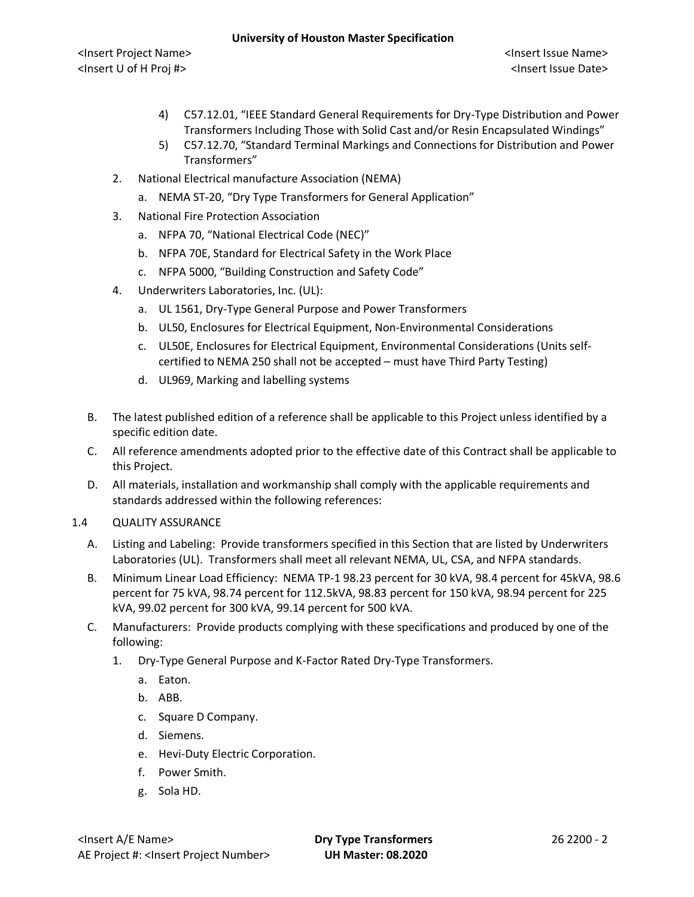<Insert Project Name> <Insert Issue Name> <Insert U of H Proj #> <Insert Issue Date>

- 4) C57.12.01, "IEEE Standard General Requirements for Dry-Type Distribution and Power Transformers Including Those with Solid Cast and/or Resin Encapsulated Windings"
- 5) C57.12.70, "Standard Terminal Markings and Connections for Distribution and Power Transformers"
- 2. National Electrical manufacture Association (NEMA)
	- a. NEMA ST-20, "Dry Type Transformers for General Application"
- 3. National Fire Protection Association
	- a. NFPA 70, "National Electrical Code (NEC)"
	- b. NFPA 70E, Standard for Electrical Safety in the Work Place
	- c. NFPA 5000, "Building Construction and Safety Code"
- 4. Underwriters Laboratories, Inc. (UL):
	- a. UL 1561, Dry-Type General Purpose and Power Transformers
	- b. UL50, Enclosures for Electrical Equipment, Non-Environmental Considerations
	- c. UL50E, Enclosures for Electrical Equipment, Environmental Considerations (Units selfcertified to NEMA 250 shall not be accepted – must have Third Party Testing)
	- d. UL969, Marking and labelling systems
- B. The latest published edition of a reference shall be applicable to this Project unless identified by a specific edition date.
- C. All reference amendments adopted prior to the effective date of this Contract shall be applicable to this Project.
- D. All materials, installation and workmanship shall comply with the applicable requirements and standards addressed within the following references:

# 1.4 QUALITY ASSURANCE

- A. Listing and Labeling: Provide transformers specified in this Section that are listed by Underwriters Laboratories (UL). Transformers shall meet all relevant NEMA, UL, CSA, and NFPA standards.
- B. Minimum Linear Load Efficiency: NEMA TP-1 98.23 percent for 30 kVA, 98.4 percent for 45kVA, 98.6 percent for 75 kVA, 98.74 percent for 112.5kVA, 98.83 percent for 150 kVA, 98.94 percent for 225 kVA, 99.02 percent for 300 kVA, 99.14 percent for 500 kVA.
- C. Manufacturers: Provide products complying with these specifications and produced by one of the following:
	- 1. Dry-Type General Purpose and K-Factor Rated Dry-Type Transformers.
		- a. Eaton.
		- b. ABB.
		- c. Square D Company.
		- d. Siemens.
		- e. Hevi-Duty Electric Corporation.
		- f. Power Smith.
		- g. Sola HD.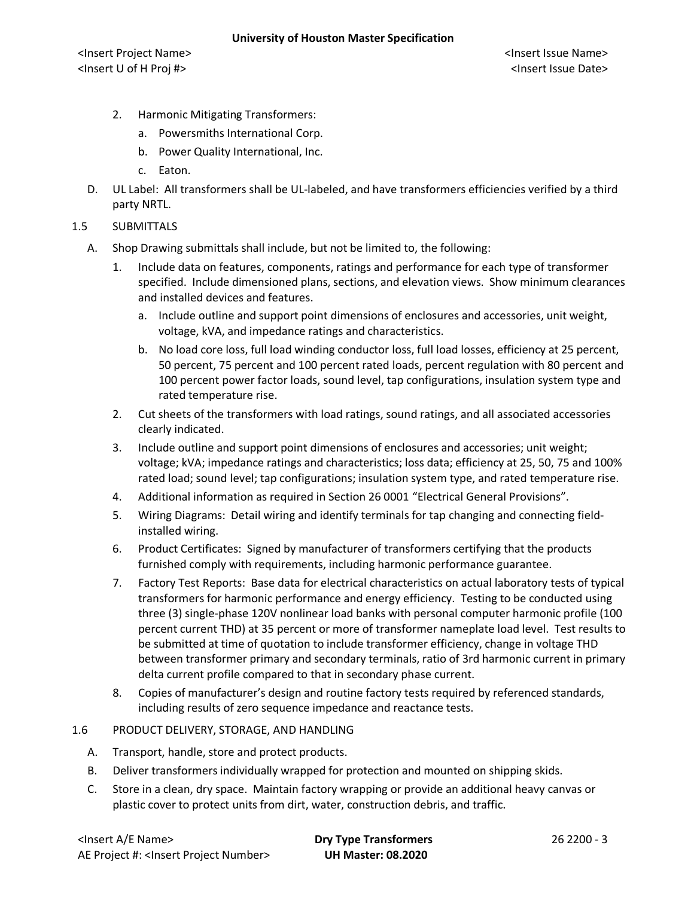- 2. Harmonic Mitigating Transformers:
	- a. Powersmiths International Corp.
	- b. Power Quality International, Inc.
	- c. Eaton.
- D. UL Label: All transformers shall be UL-labeled, and have transformers efficiencies verified by a third party NRTL.
- 1.5 SUBMITTALS
	- A. Shop Drawing submittals shall include, but not be limited to, the following:
		- 1. Include data on features, components, ratings and performance for each type of transformer specified. Include dimensioned plans, sections, and elevation views. Show minimum clearances and installed devices and features.
			- a. Include outline and support point dimensions of enclosures and accessories, unit weight, voltage, kVA, and impedance ratings and characteristics.
			- b. No load core loss, full load winding conductor loss, full load losses, efficiency at 25 percent, 50 percent, 75 percent and 100 percent rated loads, percent regulation with 80 percent and 100 percent power factor loads, sound level, tap configurations, insulation system type and rated temperature rise.
		- 2. Cut sheets of the transformers with load ratings, sound ratings, and all associated accessories clearly indicated.
		- 3. Include outline and support point dimensions of enclosures and accessories; unit weight; voltage; kVA; impedance ratings and characteristics; loss data; efficiency at 25, 50, 75 and 100% rated load; sound level; tap configurations; insulation system type, and rated temperature rise.
		- 4. Additional information as required in Section 26 0001 "Electrical General Provisions".
		- 5. Wiring Diagrams: Detail wiring and identify terminals for tap changing and connecting fieldinstalled wiring.
		- 6. Product Certificates: Signed by manufacturer of transformers certifying that the products furnished comply with requirements, including harmonic performance guarantee.
		- 7. Factory Test Reports: Base data for electrical characteristics on actual laboratory tests of typical transformers for harmonic performance and energy efficiency. Testing to be conducted using three (3) single-phase 120V nonlinear load banks with personal computer harmonic profile (100 percent current THD) at 35 percent or more of transformer nameplate load level. Test results to be submitted at time of quotation to include transformer efficiency, change in voltage THD between transformer primary and secondary terminals, ratio of 3rd harmonic current in primary delta current profile compared to that in secondary phase current.
		- 8. Copies of manufacturer's design and routine factory tests required by referenced standards, including results of zero sequence impedance and reactance tests.
- 1.6 PRODUCT DELIVERY, STORAGE, AND HANDLING
	- A. Transport, handle, store and protect products.
	- B. Deliver transformers individually wrapped for protection and mounted on shipping skids.
	- C. Store in a clean, dry space. Maintain factory wrapping or provide an additional heavy canvas or plastic cover to protect units from dirt, water, construction debris, and traffic.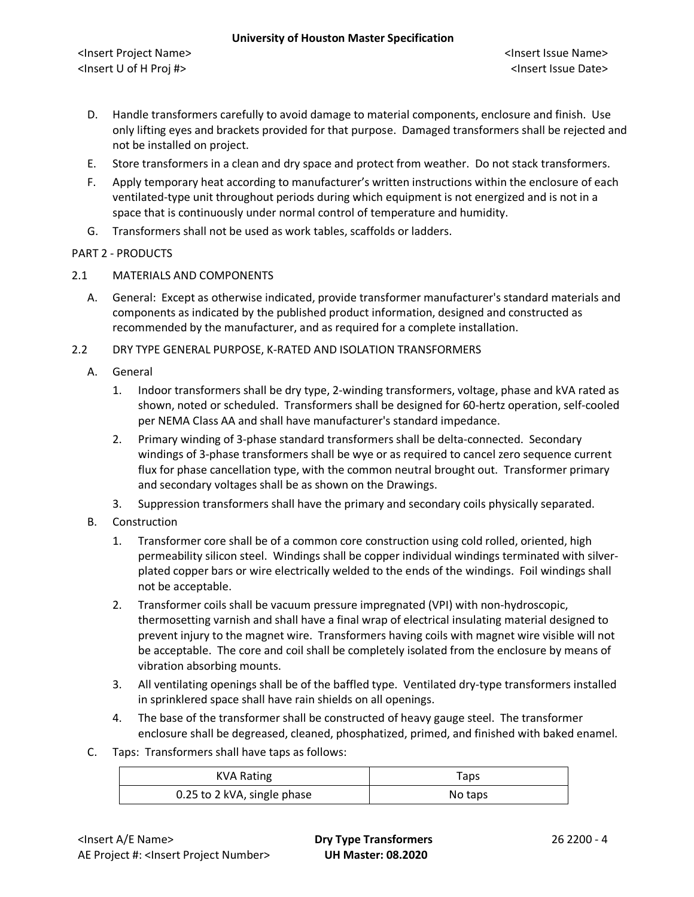### **University of Houston Master Specification**

<Insert Project Name> <Insert Issue Name> <Insert U of H Proj #> <Insert Issue Date>

- D. Handle transformers carefully to avoid damage to material components, enclosure and finish. Use only lifting eyes and brackets provided for that purpose. Damaged transformers shall be rejected and not be installed on project.
- E. Store transformers in a clean and dry space and protect from weather. Do not stack transformers.
- F. Apply temporary heat according to manufacturer's written instructions within the enclosure of each ventilated-type unit throughout periods during which equipment is not energized and is not in a space that is continuously under normal control of temperature and humidity.
- G. Transformers shall not be used as work tables, scaffolds or ladders.

# PART 2 - PRODUCTS

- 2.1 MATERIALS AND COMPONENTS
	- A. General: Except as otherwise indicated, provide transformer manufacturer's standard materials and components as indicated by the published product information, designed and constructed as recommended by the manufacturer, and as required for a complete installation.

2.2 DRY TYPE GENERAL PURPOSE, K-RATED AND ISOLATION TRANSFORMERS

- A. General
	- 1. Indoor transformers shall be dry type, 2-winding transformers, voltage, phase and kVA rated as shown, noted or scheduled. Transformers shall be designed for 60-hertz operation, self-cooled per NEMA Class AA and shall have manufacturer's standard impedance.
	- 2. Primary winding of 3-phase standard transformers shall be delta-connected. Secondary windings of 3-phase transformers shall be wye or as required to cancel zero sequence current flux for phase cancellation type, with the common neutral brought out. Transformer primary and secondary voltages shall be as shown on the Drawings.
	- 3. Suppression transformers shall have the primary and secondary coils physically separated.
- B. Construction
	- 1. Transformer core shall be of a common core construction using cold rolled, oriented, high permeability silicon steel. Windings shall be copper individual windings terminated with silverplated copper bars or wire electrically welded to the ends of the windings. Foil windings shall not be acceptable.
	- 2. Transformer coils shall be vacuum pressure impregnated (VPI) with non-hydroscopic, thermosetting varnish and shall have a final wrap of electrical insulating material designed to prevent injury to the magnet wire. Transformers having coils with magnet wire visible will not be acceptable. The core and coil shall be completely isolated from the enclosure by means of vibration absorbing mounts.
	- 3. All ventilating openings shall be of the baffled type. Ventilated dry-type transformers installed in sprinklered space shall have rain shields on all openings.
	- 4. The base of the transformer shall be constructed of heavy gauge steel. The transformer enclosure shall be degreased, cleaned, phosphatized, primed, and finished with baked enamel.
- C. Taps: Transformers shall have taps as follows:

| KVA Rating                  | Taps    |
|-----------------------------|---------|
| 0.25 to 2 kVA, single phase | No taps |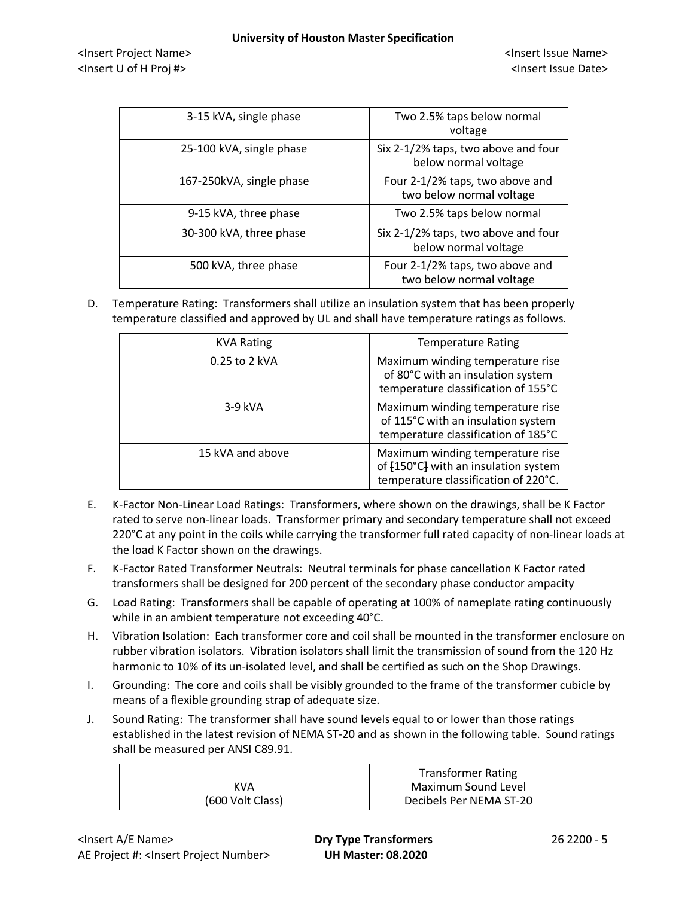<Insert Project Name> <Insert Issue Name> <Insert U of H Proj #> <Insert Issue Date>

| 3-15 kVA, single phase   | Two 2.5% taps below normal<br>voltage                       |
|--------------------------|-------------------------------------------------------------|
| 25-100 kVA, single phase | Six 2-1/2% taps, two above and four<br>below normal voltage |
| 167-250kVA, single phase | Four 2-1/2% taps, two above and<br>two below normal voltage |
| 9-15 kVA, three phase    | Two 2.5% taps below normal                                  |
| 30-300 kVA, three phase  | Six 2-1/2% taps, two above and four<br>below normal voltage |
| 500 kVA, three phase     | Four 2-1/2% taps, two above and<br>two below normal voltage |

D. Temperature Rating: Transformers shall utilize an insulation system that has been properly temperature classified and approved by UL and shall have temperature ratings as follows.

| <b>KVA Rating</b> | <b>Temperature Rating</b>                                                                                        |
|-------------------|------------------------------------------------------------------------------------------------------------------|
| 0.25 to 2 kVA     | Maximum winding temperature rise<br>of 80°C with an insulation system<br>temperature classification of 155°C     |
| 3-9 kVA           | Maximum winding temperature rise<br>of 115°C with an insulation system<br>temperature classification of 185°C    |
| 15 kVA and above  | Maximum winding temperature rise<br>of [150°C] with an insulation system<br>temperature classification of 220°C. |

- E. K-Factor Non-Linear Load Ratings: Transformers, where shown on the drawings, shall be K Factor rated to serve non-linear loads. Transformer primary and secondary temperature shall not exceed 220°C at any point in the coils while carrying the transformer full rated capacity of non-linear loads at the load K Factor shown on the drawings.
- F. K-Factor Rated Transformer Neutrals: Neutral terminals for phase cancellation K Factor rated transformers shall be designed for 200 percent of the secondary phase conductor ampacity
- G. Load Rating: Transformers shall be capable of operating at 100% of nameplate rating continuously while in an ambient temperature not exceeding 40°C.
- H. Vibration Isolation: Each transformer core and coil shall be mounted in the transformer enclosure on rubber vibration isolators. Vibration isolators shall limit the transmission of sound from the 120 Hz harmonic to 10% of its un-isolated level, and shall be certified as such on the Shop Drawings.
- I. Grounding: The core and coils shall be visibly grounded to the frame of the transformer cubicle by means of a flexible grounding strap of adequate size.
- J. Sound Rating: The transformer shall have sound levels equal to or lower than those ratings established in the latest revision of NEMA ST-20 and as shown in the following table. Sound ratings shall be measured per ANSI C89.91.

|                  | <b>Transformer Rating</b> |
|------------------|---------------------------|
| KVA              | Maximum Sound Level       |
| (600 Volt Class) | Decibels Per NEMA ST-20   |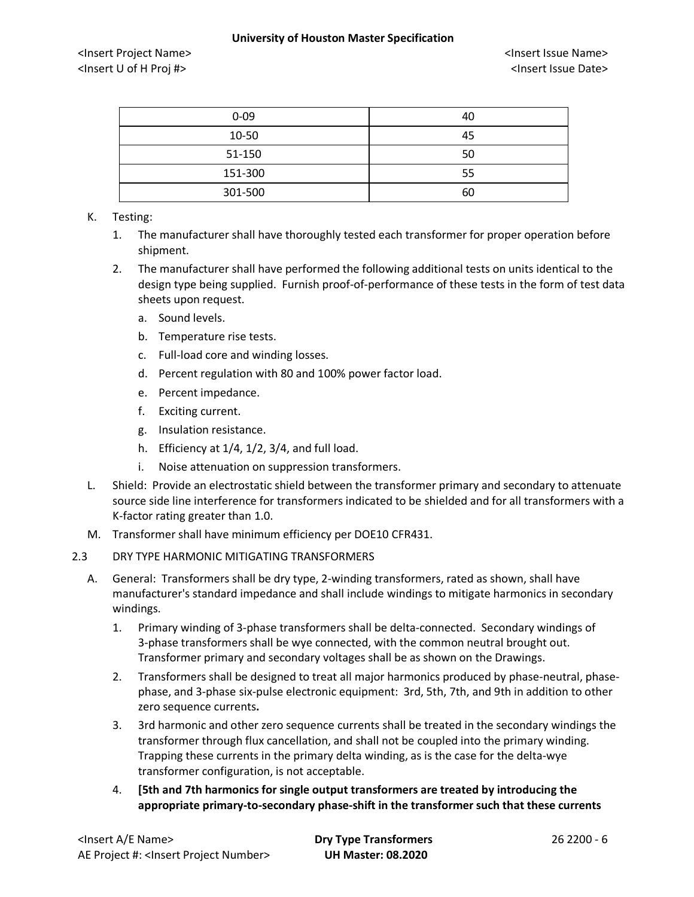### **University of Houston Master Specification**

<Insert Project Name> <Insert Issue Name> <Insert U of H Proj #> <Insert Issue Date>

| $0 - 09$ | 40 |
|----------|----|
| 10-50    | 45 |
| 51-150   | 50 |
| 151-300  | 55 |
| 301-500  | 60 |

## K. Testing:

- 1. The manufacturer shall have thoroughly tested each transformer for proper operation before shipment.
- 2. The manufacturer shall have performed the following additional tests on units identical to the design type being supplied. Furnish proof-of-performance of these tests in the form of test data sheets upon request.
	- a. Sound levels.
	- b. Temperature rise tests.
	- c. Full-load core and winding losses.
	- d. Percent regulation with 80 and 100% power factor load.
	- e. Percent impedance.
	- f. Exciting current.
	- g. Insulation resistance.
	- h. Efficiency at 1/4, 1/2, 3/4, and full load.
	- i. Noise attenuation on suppression transformers.
- L. Shield: Provide an electrostatic shield between the transformer primary and secondary to attenuate source side line interference for transformers indicated to be shielded and for all transformers with a K-factor rating greater than 1.0.
- M. Transformer shall have minimum efficiency per DOE10 CFR431.

# 2.3 DRY TYPE HARMONIC MITIGATING TRANSFORMERS

- A. General: Transformers shall be dry type, 2-winding transformers, rated as shown, shall have manufacturer's standard impedance and shall include windings to mitigate harmonics in secondary windings.
	- 1. Primary winding of 3-phase transformers shall be delta-connected. Secondary windings of 3-phase transformers shall be wye connected, with the common neutral brought out. Transformer primary and secondary voltages shall be as shown on the Drawings.
	- 2. Transformers shall be designed to treat all major harmonics produced by phase-neutral, phasephase, and 3-phase six-pulse electronic equipment: 3rd, 5th, 7th, and 9th in addition to other zero sequence currents**.**
	- 3. 3rd harmonic and other zero sequence currents shall be treated in the secondary windings the transformer through flux cancellation, and shall not be coupled into the primary winding. Trapping these currents in the primary delta winding, as is the case for the delta-wye transformer configuration, is not acceptable.
	- 4. **[5th and 7th harmonics for single output transformers are treated by introducing the appropriate primary-to-secondary phase-shift in the transformer such that these currents**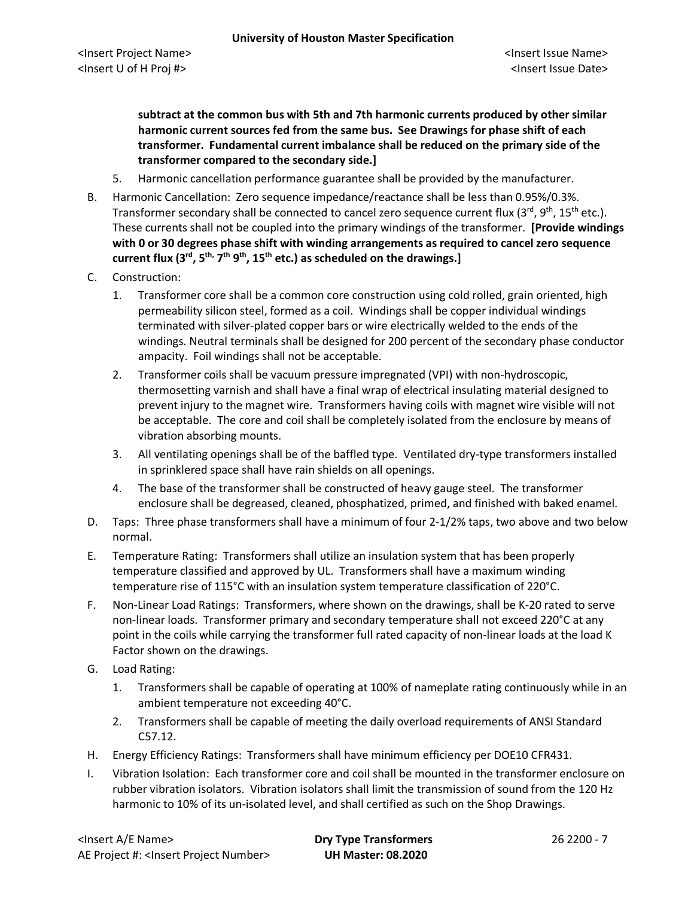**subtract at the common bus with 5th and 7th harmonic currents produced by other similar harmonic current sources fed from the same bus. See Drawings for phase shift of each transformer. Fundamental current imbalance shall be reduced on the primary side of the transformer compared to the secondary side.]**

- 5. Harmonic cancellation performance guarantee shall be provided by the manufacturer.
- B. Harmonic Cancellation: Zero sequence impedance/reactance shall be less than 0.95%/0.3%. Transformer secondary shall be connected to cancel zero sequence current flux ( $3<sup>rd</sup>$ ,  $9<sup>th</sup>$ ,  $15<sup>th</sup>$  etc.). These currents shall not be coupled into the primary windings of the transformer. **[Provide windings with 0 or 30 degrees phase shift with winding arrangements as required to cancel zero sequence current flux (3rd, 5th, 7th 9th, 15th etc.) as scheduled on the drawings.]**
- C. Construction:
	- 1. Transformer core shall be a common core construction using cold rolled, grain oriented, high permeability silicon steel, formed as a coil. Windings shall be copper individual windings terminated with silver-plated copper bars or wire electrically welded to the ends of the windings. Neutral terminals shall be designed for 200 percent of the secondary phase conductor ampacity. Foil windings shall not be acceptable.
	- 2. Transformer coils shall be vacuum pressure impregnated (VPI) with non-hydroscopic, thermosetting varnish and shall have a final wrap of electrical insulating material designed to prevent injury to the magnet wire. Transformers having coils with magnet wire visible will not be acceptable. The core and coil shall be completely isolated from the enclosure by means of vibration absorbing mounts.
	- 3. All ventilating openings shall be of the baffled type. Ventilated dry-type transformers installed in sprinklered space shall have rain shields on all openings.
	- 4. The base of the transformer shall be constructed of heavy gauge steel. The transformer enclosure shall be degreased, cleaned, phosphatized, primed, and finished with baked enamel.
- D. Taps: Three phase transformers shall have a minimum of four 2-1/2% taps, two above and two below normal.
- E. Temperature Rating: Transformers shall utilize an insulation system that has been properly temperature classified and approved by UL. Transformers shall have a maximum winding temperature rise of 115°C with an insulation system temperature classification of 220°C.
- F. Non-Linear Load Ratings: Transformers, where shown on the drawings, shall be K-20 rated to serve non-linear loads. Transformer primary and secondary temperature shall not exceed 220°C at any point in the coils while carrying the transformer full rated capacity of non-linear loads at the load K Factor shown on the drawings.
- G. Load Rating:
	- 1. Transformers shall be capable of operating at 100% of nameplate rating continuously while in an ambient temperature not exceeding 40°C.
	- 2. Transformers shall be capable of meeting the daily overload requirements of ANSI Standard C57.12.
- H. Energy Efficiency Ratings: Transformers shall have minimum efficiency per DOE10 CFR431.
- I. Vibration Isolation: Each transformer core and coil shall be mounted in the transformer enclosure on rubber vibration isolators. Vibration isolators shall limit the transmission of sound from the 120 Hz harmonic to 10% of its un-isolated level, and shall certified as such on the Shop Drawings.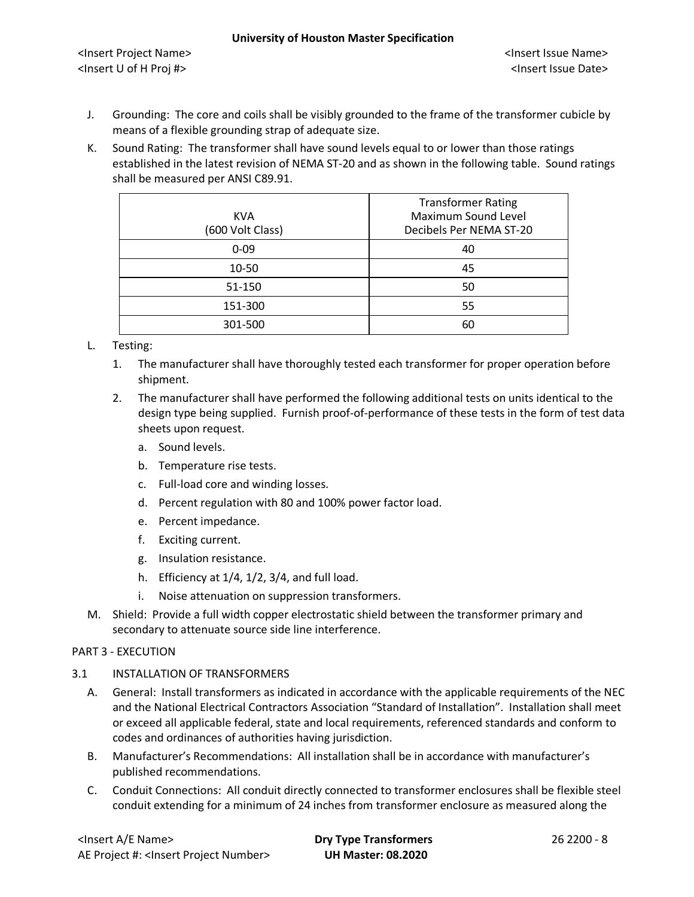- J. Grounding: The core and coils shall be visibly grounded to the frame of the transformer cubicle by means of a flexible grounding strap of adequate size.
- K. Sound Rating: The transformer shall have sound levels equal to or lower than those ratings established in the latest revision of NEMA ST-20 and as shown in the following table. Sound ratings shall be measured per ANSI C89.91.

| <b>KVA</b><br>(600 Volt Class) | <b>Transformer Rating</b><br>Maximum Sound Level<br>Decibels Per NEMA ST-20 |
|--------------------------------|-----------------------------------------------------------------------------|
| $0 - 09$                       | 40                                                                          |
| 10-50                          | 45                                                                          |
| 51-150                         | 50                                                                          |
| 151-300                        | 55                                                                          |
| 301-500                        | 60                                                                          |

# L. Testing:

- 1. The manufacturer shall have thoroughly tested each transformer for proper operation before shipment.
- 2. The manufacturer shall have performed the following additional tests on units identical to the design type being supplied. Furnish proof-of-performance of these tests in the form of test data sheets upon request.
	- a. Sound levels.
	- b. Temperature rise tests.
	- c. Full-load core and winding losses.
	- d. Percent regulation with 80 and 100% power factor load.
	- e. Percent impedance.
	- f. Exciting current.
	- g. Insulation resistance.
	- h. Efficiency at 1/4, 1/2, 3/4, and full load.
	- i. Noise attenuation on suppression transformers.
- M. Shield: Provide a full width copper electrostatic shield between the transformer primary and secondary to attenuate source side line interference.

# PART 3 - EXECUTION

# 3.1 INSTALLATION OF TRANSFORMERS

- A. General: Install transformers as indicated in accordance with the applicable requirements of the NEC and the National Electrical Contractors Association "Standard of Installation". Installation shall meet or exceed all applicable federal, state and local requirements, referenced standards and conform to codes and ordinances of authorities having jurisdiction.
- B. Manufacturer's Recommendations: All installation shall be in accordance with manufacturer's published recommendations.
- C. Conduit Connections: All conduit directly connected to transformer enclosures shall be flexible steel conduit extending for a minimum of 24 inches from transformer enclosure as measured along the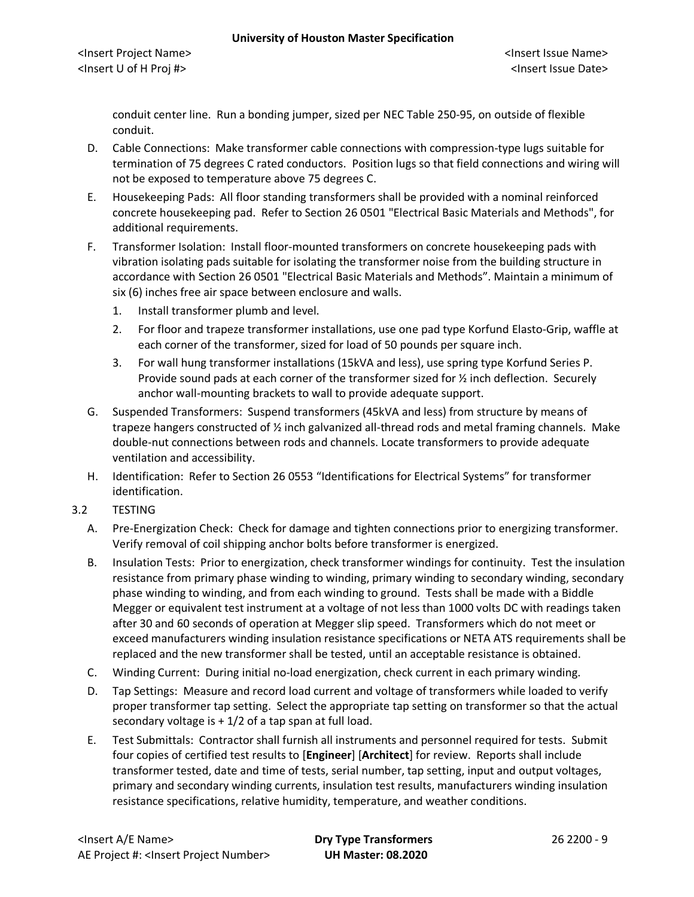conduit center line. Run a bonding jumper, sized per NEC Table 250-95, on outside of flexible conduit.

- D. Cable Connections: Make transformer cable connections with compression-type lugs suitable for termination of 75 degrees C rated conductors. Position lugs so that field connections and wiring will not be exposed to temperature above 75 degrees C.
- E. Housekeeping Pads: All floor standing transformers shall be provided with a nominal reinforced concrete housekeeping pad. Refer to Section 26 0501 "Electrical Basic Materials and Methods", for additional requirements.
- F. Transformer Isolation: Install floor-mounted transformers on concrete housekeeping pads with vibration isolating pads suitable for isolating the transformer noise from the building structure in accordance with Section 26 0501 "Electrical Basic Materials and Methods". Maintain a minimum of six (6) inches free air space between enclosure and walls.
	- 1. Install transformer plumb and level.
	- 2. For floor and trapeze transformer installations, use one pad type Korfund Elasto-Grip, waffle at each corner of the transformer, sized for load of 50 pounds per square inch.
	- 3. For wall hung transformer installations (15kVA and less), use spring type Korfund Series P. Provide sound pads at each corner of the transformer sized for ½ inch deflection. Securely anchor wall-mounting brackets to wall to provide adequate support.
- G. Suspended Transformers: Suspend transformers (45kVA and less) from structure by means of trapeze hangers constructed of ½ inch galvanized all-thread rods and metal framing channels. Make double-nut connections between rods and channels. Locate transformers to provide adequate ventilation and accessibility.
- H. Identification: Refer to Section 26 0553 "Identifications for Electrical Systems" for transformer identification.
- 3.2 TESTING
	- A. Pre-Energization Check: Check for damage and tighten connections prior to energizing transformer. Verify removal of coil shipping anchor bolts before transformer is energized.
	- B. Insulation Tests: Prior to energization, check transformer windings for continuity. Test the insulation resistance from primary phase winding to winding, primary winding to secondary winding, secondary phase winding to winding, and from each winding to ground. Tests shall be made with a Biddle Megger or equivalent test instrument at a voltage of not less than 1000 volts DC with readings taken after 30 and 60 seconds of operation at Megger slip speed. Transformers which do not meet or exceed manufacturers winding insulation resistance specifications or NETA ATS requirements shall be replaced and the new transformer shall be tested, until an acceptable resistance is obtained.
	- C. Winding Current: During initial no-load energization, check current in each primary winding.
	- D. Tap Settings: Measure and record load current and voltage of transformers while loaded to verify proper transformer tap setting. Select the appropriate tap setting on transformer so that the actual secondary voltage is  $+1/2$  of a tap span at full load.
	- E. Test Submittals: Contractor shall furnish all instruments and personnel required for tests. Submit four copies of certified test results to [**Engineer**] [**Architect**] for review. Reports shall include transformer tested, date and time of tests, serial number, tap setting, input and output voltages, primary and secondary winding currents, insulation test results, manufacturers winding insulation resistance specifications, relative humidity, temperature, and weather conditions.